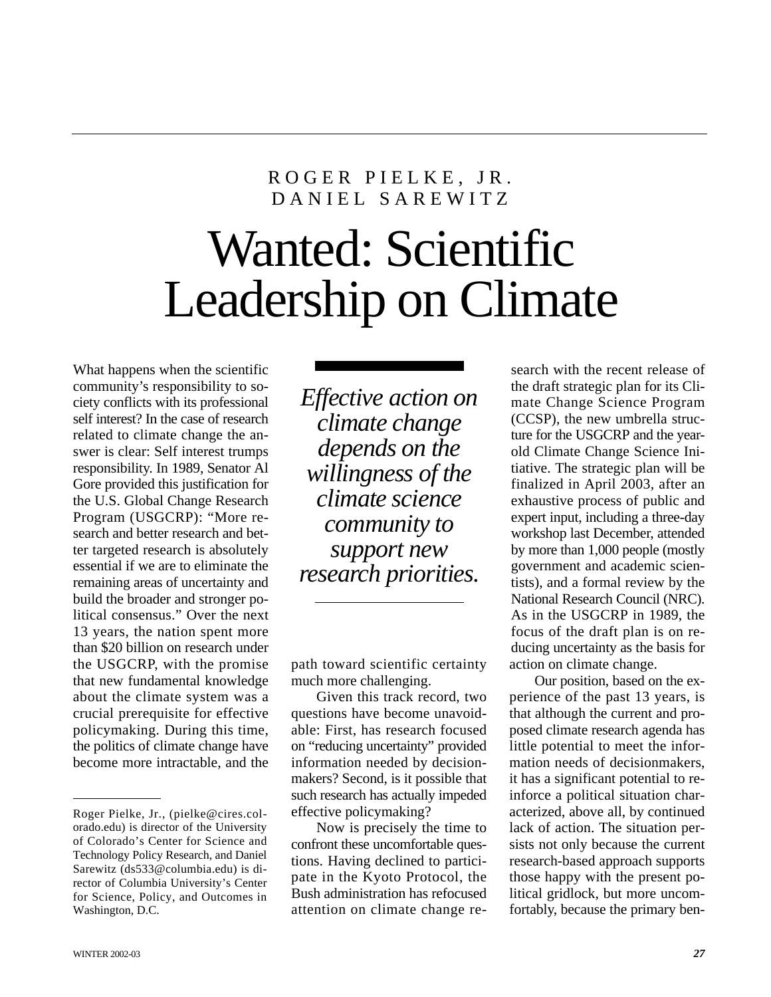## ROGER PIELKE, JR. DANIEL SAREWITZ

## Wanted: Scientific Leadership on Climate

What happens when the scientific community's responsibility to society conflicts with its professional self interest? In the case of research related to climate change the answer is clear: Self interest trumps responsibility. In 1989, Senator Al Gore provided this justification for the U.S. Global Change Research Program (USGCRP): "More research and better research and better targeted research is absolutely essential if we are to eliminate the remaining areas of uncertainty and build the broader and stronger political consensus." Over the next 13 years, the nation spent more than \$20 billion on research under the USGCRP, with the promise that new fundamental knowledge about the climate system was a crucial prerequisite for effective policymaking. During this time, the politics of climate change have become more intractable, and the

*Effective action on climate change depends on the willingness of the climate science community to support new research priorities.*

path toward scientific certainty much more challenging.

Given this track record, two questions have become unavoidable: First, has research focused on "reducing uncertainty" provided information needed by decisionmakers? Second, is it possible that such research has actually impeded effective policymaking?

Now is precisely the time to confront these uncomfortable questions. Having declined to participate in the Kyoto Protocol, the Bush administration has refocused attention on climate change re-

search with the recent release of the draft strategic plan for its Climate Change Science Program (CCSP), the new umbrella structure for the USGCRP and the yearold Climate Change Science Initiative. The strategic plan will be finalized in April 2003, after an exhaustive process of public and expert input, including a three-day workshop last December, attended by more than 1,000 people (mostly government and academic scientists), and a formal review by the National Research Council (NRC). As in the USGCRP in 1989, the focus of the draft plan is on reducing uncertainty as the basis for action on climate change.

Our position, based on the experience of the past 13 years, is that although the current and proposed climate research agenda has little potential to meet the information needs of decisionmakers, it has a significant potential to reinforce a political situation characterized, above all, by continued lack of action. The situation persists not only because the current research-based approach supports those happy with the present political gridlock, but more uncomfortably, because the primary ben-

Roger Pielke, Jr., (pielke@cires.colorado.edu) is director of the University of Colorado's Center for Science and Technology Policy Research, and Daniel Sarewitz (ds533@columbia.edu) is director of Columbia University's Center for Science, Policy, and Outcomes in Washington, D.C.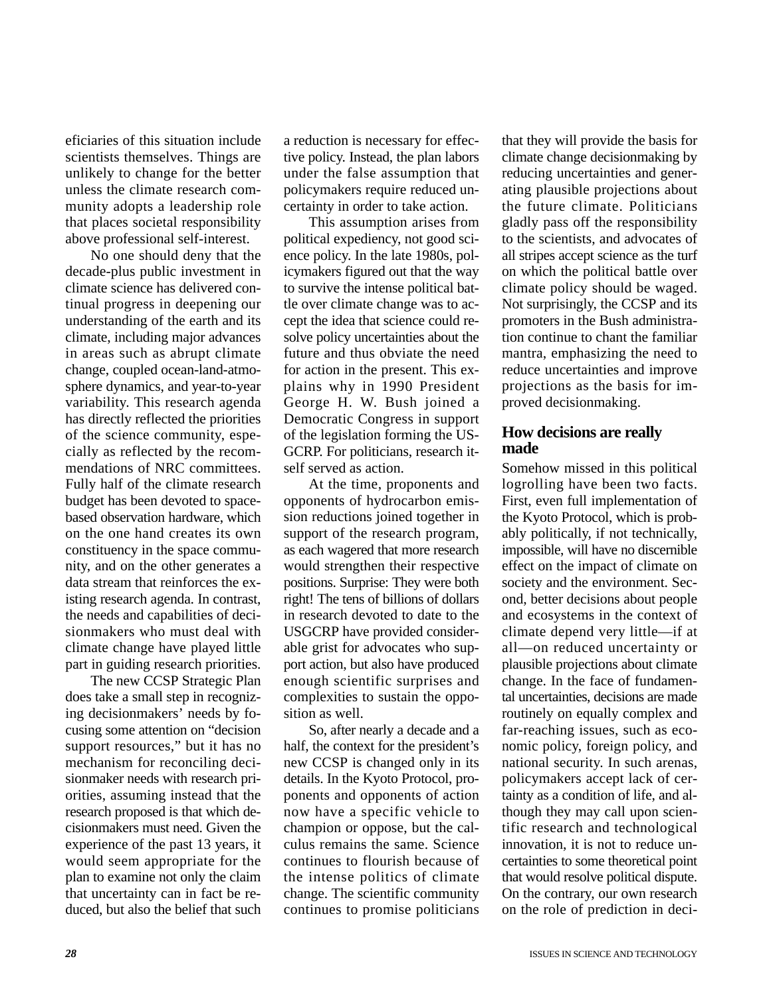eficiaries of this situation include scientists themselves. Things are unlikely to change for the better unless the climate research community adopts a leadership role that places societal responsibility above professional self-interest.

No one should deny that the decade-plus public investment in climate science has delivered continual progress in deepening our understanding of the earth and its climate, including major advances in areas such as abrupt climate change, coupled ocean-land-atmosphere dynamics, and year-to-year variability. This research agenda has directly reflected the priorities of the science community, especially as reflected by the recommendations of NRC committees. Fully half of the climate research budget has been devoted to spacebased observation hardware, which on the one hand creates its own constituency in the space community, and on the other generates a data stream that reinforces the existing research agenda. In contrast, the needs and capabilities of decisionmakers who must deal with climate change have played little part in guiding research priorities.

The new CCSP Strategic Plan does take a small step in recognizing decisionmakers' needs by focusing some attention on "decision support resources," but it has no mechanism for reconciling decisionmaker needs with research priorities, assuming instead that the research proposed is that which decisionmakers must need. Given the experience of the past 13 years, it would seem appropriate for the plan to examine not only the claim that uncertainty can in fact be reduced, but also the belief that such

a reduction is necessary for effective policy. Instead, the plan labors under the false assumption that policymakers require reduced uncertainty in order to take action.

This assumption arises from political expediency, not good science policy. In the late 1980s, policymakers figured out that the way to survive the intense political battle over climate change was to accept the idea that science could resolve policy uncertainties about the future and thus obviate the need for action in the present. This explains why in 1990 President George H. W. Bush joined a Democratic Congress in support of the legislation forming the US-GCRP. For politicians, research itself served as action.

At the time, proponents and opponents of hydrocarbon emission reductions joined together in support of the research program, as each wagered that more research would strengthen their respective positions. Surprise: They were both right! The tens of billions of dollars in research devoted to date to the USGCRP have provided considerable grist for advocates who support action, but also have produced enough scientific surprises and complexities to sustain the opposition as well.

So, after nearly a decade and a half, the context for the president's new CCSP is changed only in its details. In the Kyoto Protocol, proponents and opponents of action now have a specific vehicle to champion or oppose, but the calculus remains the same. Science continues to flourish because of the intense politics of climate change. The scientific community continues to promise politicians

that they will provide the basis for climate change decisionmaking by reducing uncertainties and generating plausible projections about the future climate. Politicians gladly pass off the responsibility to the scientists, and advocates of all stripes accept science as the turf on which the political battle over climate policy should be waged. Not surprisingly, the CCSP and its promoters in the Bush administration continue to chant the familiar mantra, emphasizing the need to reduce uncertainties and improve projections as the basis for improved decisionmaking.

## **How decisions are really made**

Somehow missed in this political logrolling have been two facts. First, even full implementation of the Kyoto Protocol, which is probably politically, if not technically, impossible, will have no discernible effect on the impact of climate on society and the environment. Second, better decisions about people and ecosystems in the context of climate depend very little—if at all—on reduced uncertainty or plausible projections about climate change. In the face of fundamental uncertainties, decisions are made routinely on equally complex and far-reaching issues, such as economic policy, foreign policy, and national security. In such arenas, policymakers accept lack of certainty as a condition of life, and although they may call upon scientific research and technological innovation, it is not to reduce uncertainties to some theoretical point that would resolve political dispute. On the contrary, our own research on the role of prediction in deci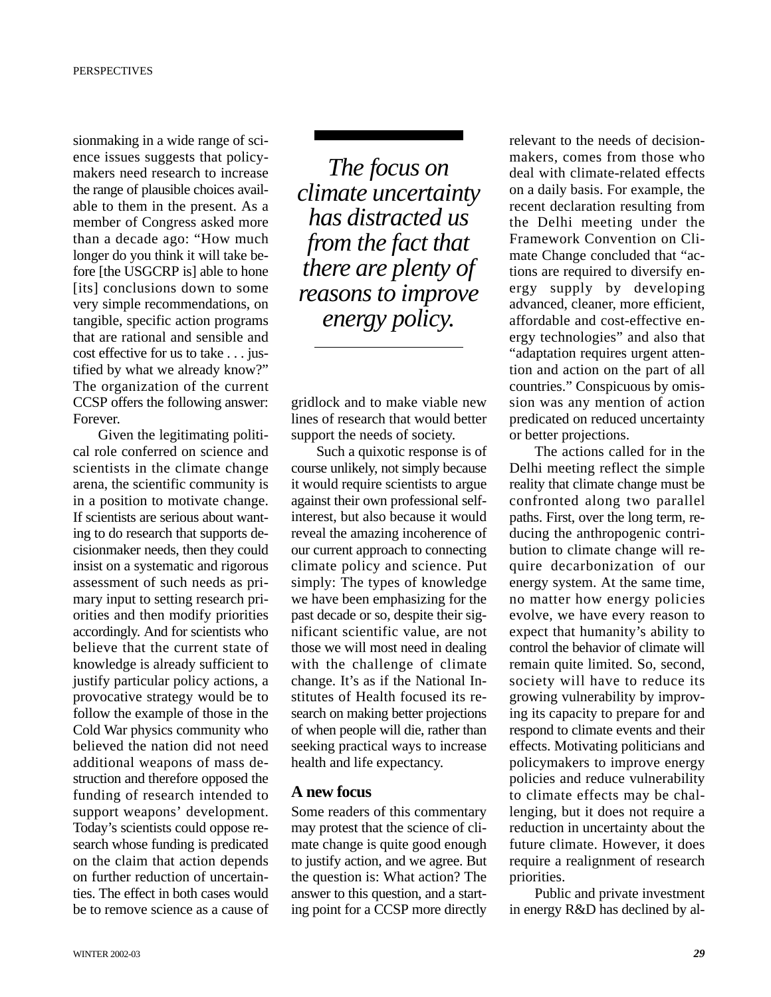sionmaking in a wide range of science issues suggests that policymakers need research to increase the range of plausible choices available to them in the present. As a member of Congress asked more than a decade ago: "How much longer do you think it will take before [the USGCRP is] able to hone [its] conclusions down to some very simple recommendations, on tangible, specific action programs that are rational and sensible and cost effective for us to take . . . justified by what we already know?" The organization of the current CCSP offers the following answer: Forever.

Given the legitimating political role conferred on science and scientists in the climate change arena, the scientific community is in a position to motivate change. If scientists are serious about wanting to do research that supports decisionmaker needs, then they could insist on a systematic and rigorous assessment of such needs as primary input to setting research priorities and then modify priorities accordingly. And for scientists who believe that the current state of knowledge is already sufficient to justify particular policy actions, a provocative strategy would be to follow the example of those in the Cold War physics community who believed the nation did not need additional weapons of mass destruction and therefore opposed the funding of research intended to support weapons' development. Today's scientists could oppose research whose funding is predicated on the claim that action depends on further reduction of uncertainties. The effect in both cases would be to remove science as a cause of

*The focus on climate uncertainty has distracted us from the fact that there are plenty of reasons to improve energy policy.*

gridlock and to make viable new lines of research that would better support the needs of society.

Such a quixotic response is of course unlikely, not simply because it would require scientists to argue against their own professional selfinterest, but also because it would reveal the amazing incoherence of our current approach to connecting climate policy and science. Put simply: The types of knowledge we have been emphasizing for the past decade or so, despite their significant scientific value, are not those we will most need in dealing with the challenge of climate change. It's as if the National Institutes of Health focused its research on making better projections of when people will die, rather than seeking practical ways to increase health and life expectancy.

## **A new focus**

Some readers of this commentary may protest that the science of climate change is quite good enough to justify action, and we agree. But the question is: What action? The answer to this question, and a starting point for a CCSP more directly relevant to the needs of decisionmakers, comes from those who deal with climate-related effects on a daily basis. For example, the recent declaration resulting from the Delhi meeting under the Framework Convention on Climate Change concluded that "actions are required to diversify energy supply by developing advanced, cleaner, more efficient, affordable and cost-effective energy technologies" and also that "adaptation requires urgent attention and action on the part of all countries." Conspicuous by omission was any mention of action predicated on reduced uncertainty or better projections.

The actions called for in the Delhi meeting reflect the simple reality that climate change must be confronted along two parallel paths. First, over the long term, reducing the anthropogenic contribution to climate change will require decarbonization of our energy system. At the same time, no matter how energy policies evolve, we have every reason to expect that humanity's ability to control the behavior of climate will remain quite limited. So, second, society will have to reduce its growing vulnerability by improving its capacity to prepare for and respond to climate events and their effects. Motivating politicians and policymakers to improve energy policies and reduce vulnerability to climate effects may be challenging, but it does not require a reduction in uncertainty about the future climate. However, it does require a realignment of research priorities.

Public and private investment in energy R&D has declined by al